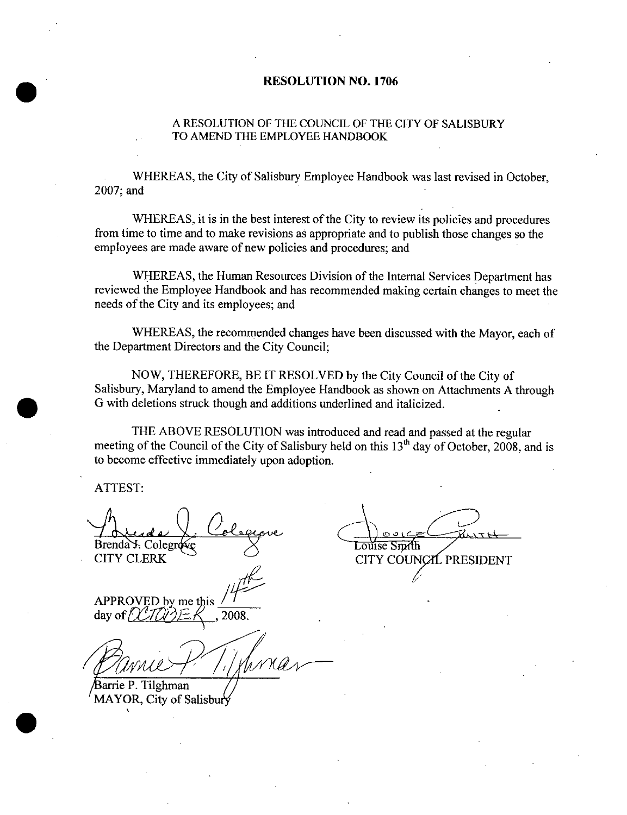## RESOLUTION NO. 1706

## A RESOLUTION OF THE COUNCII, OF THE CITY OF SALISBURY TO AMEND THE EMPLOYEE HANDBOOK

WHEREAS, the City of Salisbury Employee Handbook was last revised in October, 2007; and

WHEREAS, it is in the best interest of the City to review its policies and procedures from time to time and to make revisions as appropriate and to publish those changes so the employees are made awaze of new policies and procedures; and

WHEREAS, the Human Resources Division of the Internal Services Department has reviewed the Employee Handbook and has recommended making certain changes to meet the needs of the City and its employees; and

WHEREAS, the recommended changes have been discussed with the Mayor, each of the Department Directors and the City Council;

NOW, THEREFORE, BE IT RESOLVED by the City Council of the City of Salisbury, Maryland to amend the Employee Handbook as shown on Attachments A through G with deletions struck though and additions underlined and italicized.

THE ABOVE RESOLUTION was introduced and read and passed at the regular meeting of the Council of the City of Salisbury held on this  $13<sup>th</sup>$  day of October, 2008, and is to become effective immediately upon adoption.

ATTEST:

Brenda . Colegrose . Solution . Course Smith

CITY COUNCIL PRESIDENT

APPROVED by me this  $\frac{7}{10}$ <br>day of  $\frac{7}{10}$   $\approx$   $\frac{4}{1008}$ . day of  $/$ 

arrie P. Tilghman MAYOR, City of Salisbury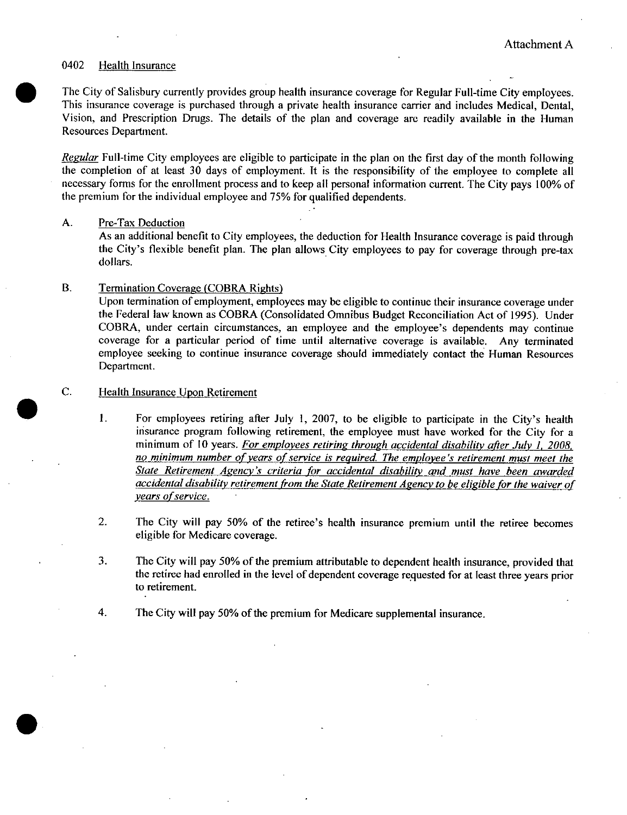#### 0402 **Health Insurance**

The City of Salisbury currently provides group health insurance coverage for Regular Full-time City employees. This insurance coverage is purchased through a private health insurance carrier and includes Medical, Dental, Vision, and Prescription Drugs. The details of the plan and coverage are readily available in the Human Resources Department.

Regular Full-time City employees are eligible to participate in the plan on the first day of the month following the completion of at least 30 days of employment. It is the responsibility of the employee to complete all necessary forms for the enrollment process and to keep all personal information current. The City pays 100% of the premium for the individual employee and 75% for qualified dependents.

#### A. Pre-Tax Deduction

As an additional benefit to City employees, the deduction for Health Insurance coverage is paid through the City's flexible benefit plan. The plan allows City employees to pay for coverage through pre-tax dollars.

#### **B.** Termination Coverage (COBRA Rights)

Upon termination of employment, employees may be eligible to continue their insurance coverage under the Federal law known as COBRA (Consolidated Omnibus Budget Reconciliation Act of 1995). Under COBRA, under certain circumstances, an employee and the employee's dependents may continue coverage for a particular period of time until alternative coverage is available. Any terminated employee seeking to continue insurance coverage should immediately contact the Human Resources Department.

#### C. Health Insurance Upon Retirement

- 1. For employees retiring after July 1, 2007, to be eligible to participate in the City's health insurance program following retirement, the employee must have worked for the City for a minimum of 10 years. For employees retiring through accidental disability after July 1, 2008. no minimum number of years of service is required. The employee's retirement must meet the State Retirement Agency's criteria for accidental disability and must have been awarded accidental disability retirement from the State Retirement Agency to be eligible for the waiver of years of service.
- $\overline{2}$ . The City will pay 50% of the retiree's health insurance premium until the retiree becomes eligible for Medicare coverage.
- 3. The City will pay 50% of the premium attributable to dependent health insurance, provided that the retiree had enrolled in the level of dependent coverage requested for at least three years prior to retirement.
- The City will pay 50% of the premium for Medicare supplemental insurance.  $\boldsymbol{4}$ .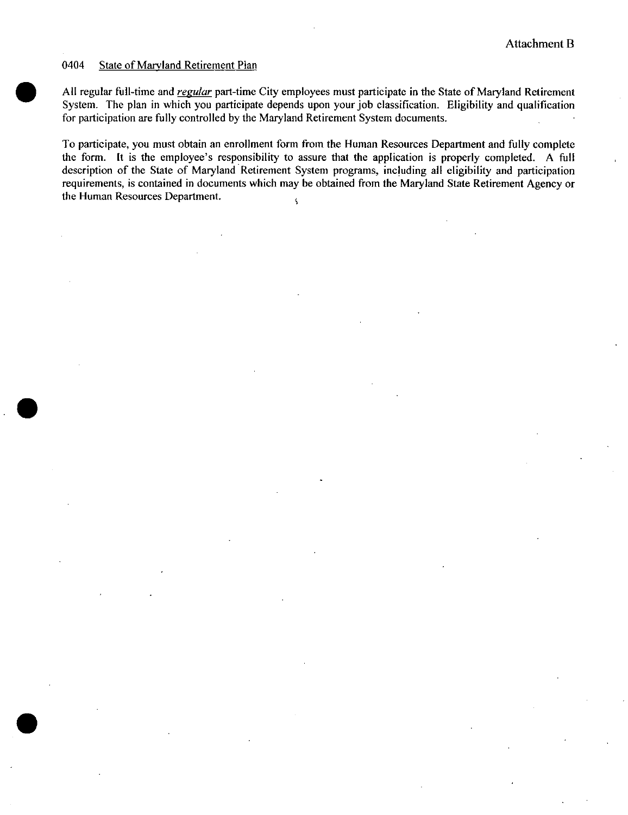#### 0404 **State of Maryland Retirement Plan**

All regular full-time and *regular* part-time City employees must participate in the State of Maryland Retirement System. The plan in which you participate depends upon your job classification. Eligibility and qualification for participation are fully controlled by the Maryland Retirement System documents.

To participate, you must obtain an enrollment form from the Human Resources Department and fully complete the form. It is the employee's responsibility to assure that the application is properly completed. A full description of the State of Maryland Retirement System programs, including all eligibility and participation requirements, is contained in documents which may be obtained from the Maryland State Retirement Agency or the Human Resources Department.  $\overline{\mathbf{S}}$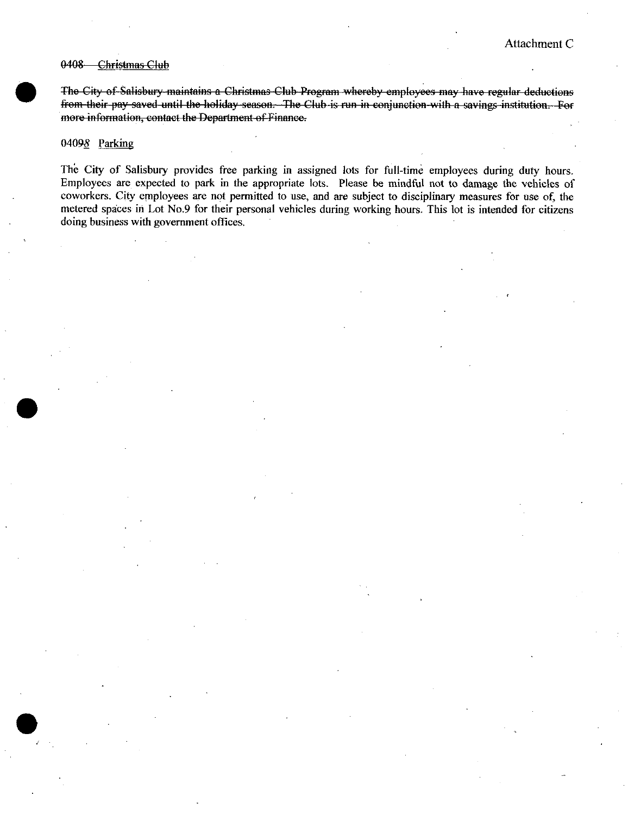#### 0408 Christmas Club

The City of Salisbury maintains a Christmas Club Program whereby employees may have regular deductions from their pay saved until the holiday season. The Club is run in conjunction with a savings institution. For more information, contact the Department of Finance.

## 04098 Parking

The City of Salisbury provides free parking in assigned lots for full-time employees during duty hours. Employees are expected to park in the appropriate lots. Please be mindful not to damage the vehicles of coworkers. City employees are not permitted to use, and are subject to disciplinary measures for use of, the metered spaces in Lot No.9 for their personal vehicles during working hours. This lot is intended for citizens doing business with government offices.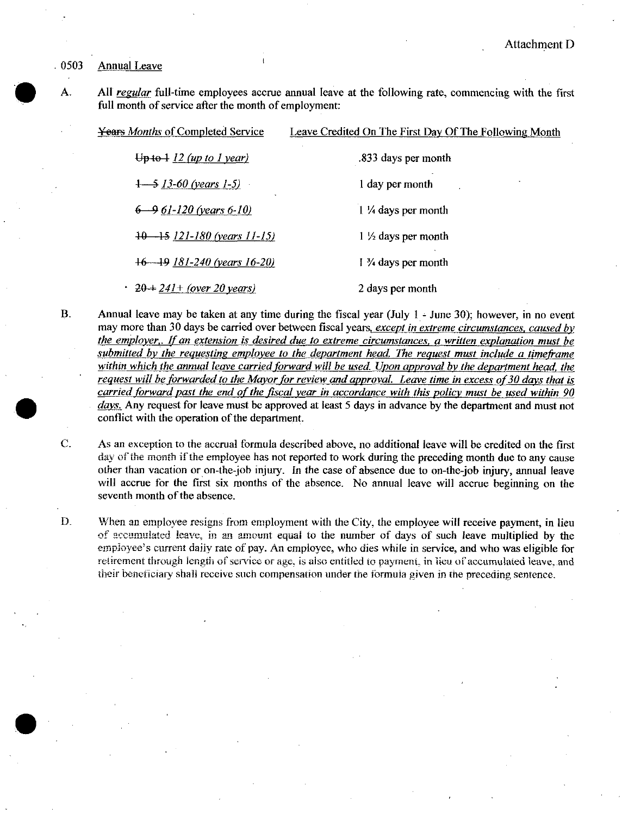#### 0503 Annual Leave

A. All regular full-time employees accrue annual leave at the following rate, commencing with the first full month of service after the month of employment:

| An regalar fun-time employees accrue annual leave at the following rate, commencing with the f<br>full month of service after the month of employment:                                                                                                                                                                                                        |                                                        |  |
|---------------------------------------------------------------------------------------------------------------------------------------------------------------------------------------------------------------------------------------------------------------------------------------------------------------------------------------------------------------|--------------------------------------------------------|--|
| <b>Years Months of Completed Service</b>                                                                                                                                                                                                                                                                                                                      | Leave Credited On The First Day Of The Following Month |  |
| $\theta$ + $\theta$ + $\theta$ + $\theta$ / $\theta$ + $\theta$ / $\theta$ / $\theta$ / $\theta$ / $\theta$ / $\theta$ / $\theta$ / $\theta$ / $\theta$ / $\theta$ / $\theta$ / $\theta$ / $\theta$ / $\theta$ / $\theta$ / $\theta$ / $\theta$ / $\theta$ / $\theta$ / $\theta$ / $\theta$ / $\theta$ / $\theta$ / $\theta$ / $\theta$ / $\theta$ / $\theta$ | .833 days per month                                    |  |
| $1 - 5$ 13-60 (years 1-5)                                                                                                                                                                                                                                                                                                                                     | 1 day per month                                        |  |
| $6 - 961 - 120$ (years 6-10)                                                                                                                                                                                                                                                                                                                                  | 1 1/4 days per month                                   |  |
| $10 - 15$ 121-180 (years 11-15)                                                                                                                                                                                                                                                                                                                               | $1\frac{1}{2}$ days per month                          |  |
| $+6$ $-19$ 181-240 (years 16-20)                                                                                                                                                                                                                                                                                                                              | $1\frac{3}{4}$ days per month                          |  |
| $\cdot$ 20 + 241 + (over 20 years)                                                                                                                                                                                                                                                                                                                            | 2 days per month                                       |  |

- B. Annual leave may be taken at any time during the fiscal year (July 1 June 30); however, in no event may more than 30 days be carried over between fiscal years, except in extreme circumstances, caused by the employer, If an extension is desired due to extreme circumstances, a written explanation must be submitted by the requesting employee to the department head. The request must include a timeframe within which the annual leave carried forward will be used. Upon approval by the department head, the request will be forwarded to the Mayor for review and approval. Leave time in excess of 30 days that is carried forward past the end of the fiscal year in accordance with this policy must be used within 90 days. Any request for leave must be approved at least 5 days in advance by the department and must not conflict with the operation of the department.
- C. As an exception to the accrual formula described above, no additional leave will be credited on the first day of the month if the employee has not reported to work during the preceding month due to any cause other than vacation or on-the-job injury. In the case of absence due to on-the-job injury, annual leave will accrue for the first six months of the absence. No annual leave will accrue beginning on the seventh month of the absence.
- D. When an employee resigns from employment with the City, the employee will receive payment, in lieu other than vacation or on-the-job injury. In the case of absence due to on-the-job injury, annual leave will accrue both month of the absence.<br>When an employee resigns from employment with the City, the employee will recei employee's current daily rate of pay. An employee, who dies while in service, and who was eligible for retirement through length of service or age, is also entitled to payment, in lieu of accumulated leave, and their beneficiary shalt receive such compensation under the formula given in the preceding sentence.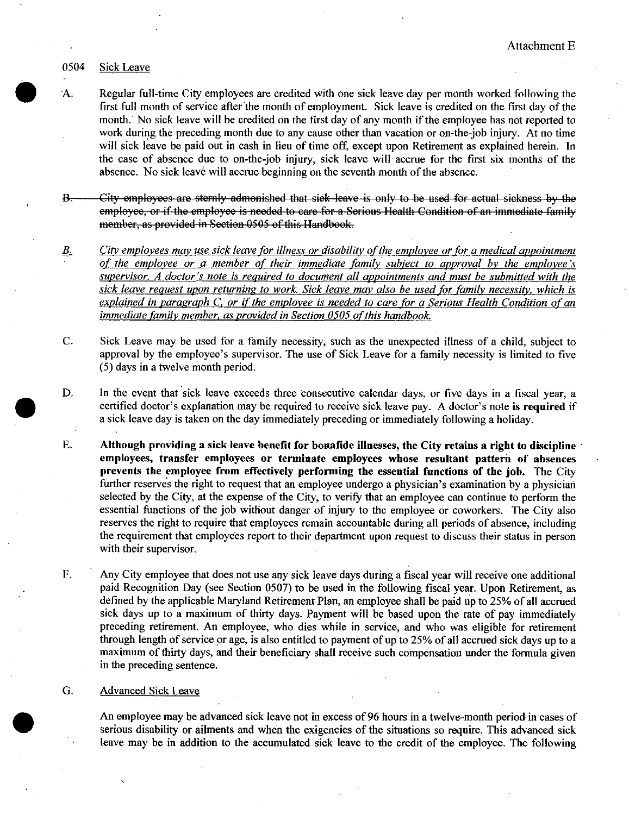## 0504 Sick Leave

- A. Regular full-time City employees are credited with one sick leave day per month worked following the first full month of service after the month of employment. Sick leave is credited on the first day of the month. No sick leave will be credited on the first day of any month if the employee has not reported to work during the preceding month due to any cause other than vacation or on-the-job injury. At no time will sick leave be paid out in cash in lieu of time off, except upon Retirement as explained herein. In the case of absence due to on-the-job injury, sick leave will accrue for the first six months of the absence. No sick leave will accrue beginning on the seventh month of the absence.
- $B<sub>1</sub>$ City employees are sternly admonished that sick leave is only to be used for actual sickness by the employee, or if the employee is needed to care for a Serious Health Condition of an immediate family
- B. City employees may use sick leave for illness or disability of the employee or for a medical appointment of the employees may use sick leave for illness or disability of the employee or for a medical appointment<br>of the employee or a member of their immediate family subject to approval by the employee's<br>supervisor. A doctor's of the employee or a member of their immediate family subject to approval by the employee's supervisor. A doctor's note is required to document all appointments and must be submitted with the supervisor. A doctor s note is required to document att appointments and must be submitted with the<br>sick leave request upon returning to work. Sick leave may also be used for family necessity, which is<br>explained in paragra immediate family member, as provided in Section 0505 of this handbook.
- C. Sick Leave may be used for <sup>a</sup> family necessity, such as the unexpected illness of <sup>a</sup> child, subject to approval by the employee's supervisor. The use of Sick Leave for a family necessity is limited to five 5) days in <sup>a</sup> twelve month period.
- D. In the event that sick leave exceeds three consecutive calendar days, or five days in a fiscal year, a certified doctor's explanation may be required to receive sick leave pay. A doctor's note is required if <sup>a</sup> sick leave day is taken on the day immediately preceding or immediately following <sup>a</sup> holiday.
- E. Although providing <sup>a</sup> sick leave benefit for bonafide illnesses, the City retains <sup>a</sup> right to discipline employees, transfer employees or terminate employees whose resultant pattern of absences<br>prevents the employee from effectively performing the essential functions of the job. The City<br>further reserves the right to request prevents the employee from effectively performing the essential functions of the job. The City further reserves the right to request that an employee undergo a physician's examination by a physician selected by the Ciry, at the expense of the City, to verify that an employee can continue to perform the essential functions of the job without danger of injury to the employee or coworkers. The City also reserves the right to require that employees remain accountable during all periods of absence, including the requirement that employees report to their department upon request to discuss their status in person with their supervisor
- F. Any City employee that does not use any sick leave days during <sup>a</sup> fiscal yeaz will receive one additional paid Recognition Day (see Section 0507) to be used in the following fiscal year. Upon Retirement, as defined by the applicable Maryland Retirement Plan, an employee shall be paid up to 25% of all accrued sick days up to <sup>a</sup> maximum of thirty days. Payment will be based upon the rate of pay immediately preceding retirement. An employee, who dies while in service, and who was eligible for retirement through length of service or age, is also entitled to payment of up to 25% of all accrued sick days up to <sup>a</sup> maximum of thirty days, and their beneficiary shall receive such compensation under the formula given in the preceding sentence.

## G. Advanced Sick Leave

An employee may be advanced sick leave not in excess of <sup>96</sup> hours in <sup>a</sup> twelve-month period in cases of serious disability or aihnents and when the exigencies of the situations so require. This advanced sick leave may be in addition to the accumulated sick leave to the credit of the employee. The following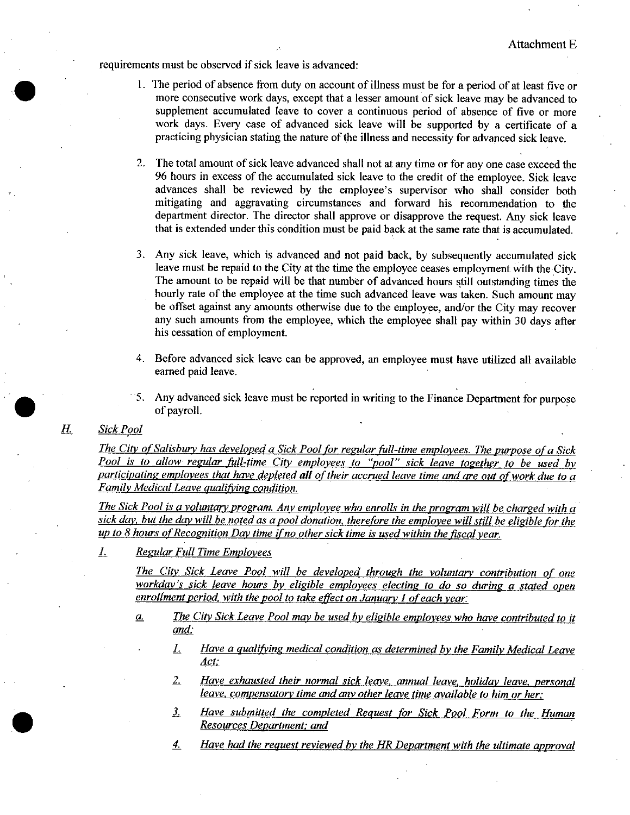requirements must be observed if sick leave is advanced:

- 1. The period of absence from duty on account of illness must be for <sup>a</sup> period of at least five or more consecutive work days, except that <sup>a</sup> lesser amount of sick leave may be advanced to supplement accumulated leave to cover <sup>a</sup> continuous period of absence of five or more work days. Every case of advanced sick leave will be supported by <sup>a</sup> certificate of <sup>a</sup> practicing physician stating the nature of the illness and necessity for advanced sick leave.
- 2. The total amount of sick leave advanced shall not at any time or for any one case exceed the <sup>96</sup> hours in excess of the accumulated sick leave to the credit of the employee. Sick leave The total amount of sick leave advanced shall not at any time or for any one case exceed the 96 hours in excess of the accumulated sick leave to the credit of the employee. Sick leave advances shall be reviewed by the empl mitigating and aggravating circumstances and forward his recommendation to the department director. The director shall approve or disapprove the request. Any sick leave that is extended under this condition must be paid back at the same rate that is accumulated.
- Any sick leave, which is advanced and not paid back, by subsequently accumulated sick leave must be repaid to the City at the time the employee ceases employment with the City. The amount to be repaid will be that number of advanced hours still outstanding times the hourly rate of the employee at the time such advanced leave was taken. Such amount may be offset against any amounts otherwise due to the employee, and/or the City may recover any such amounts from the employee, which the employee shall pay within <sup>30</sup> days after his cessation of employment.
- 4. Before advanced sick leave can be approved, an employee must have utilized all available earned paid leave.
- 5. Any advanced sick leave must be reported in writing to the Finance Department for purpose of payrolI.

## H. Sick Pool

The City of Salisbury has developed a Sick Pool for regular full-time employees. The purpose of a Sick Pool is to allow regular full-time City employees to "pool" sick leave together to be used by participating employees that have depleted all of their accrued leave time and are out of work due to a Family Medical Leave qualifying condition.

The Sick Pool is a voluntary program. Any employee who enrolls in the program will be charged with a sick day, but the day will be noted as a pool donation, therefore the employee will still be eligible for the up to 8 hours of Recognition Day time if no other sick time is used within the fiscal year.

1. Regular Full Time Employees

The City Sick Leave Pool will be developed through the voluntary contribution of one workday's sick leave hours by eligible employees electing to do so during a stated open enrollment period, with the pool to take effect on January 1 of each year.

- $a.$  The City Sick Leave Pool may be used by eligible employees who have contributed to it and:
	- $1.$  Have a qualifying medical condition as determined by the Family Medical Leave Act:
	- Have exhausted their normal sick leave, annual leave, holiday leave, personal 2. leave, compensatory time and any other leave time available to him or her:
	- 3. Have submitted the completed Request for Sick Pool Form to the Human Resources Department: and
	- 4. Have had the request reviewed by the HR Department with the ultimate approval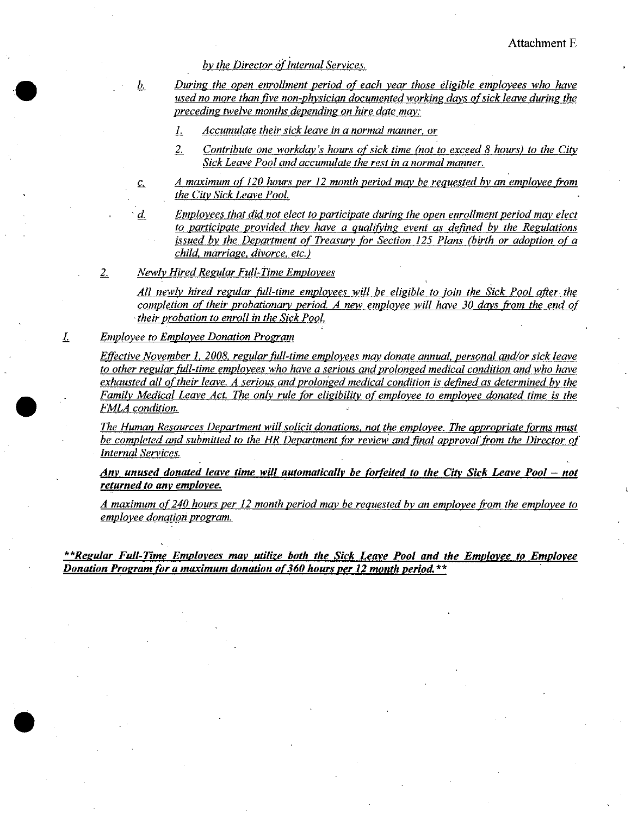by the Director of Internal Services.

b. During the open enrollment period of each year those eligible employees who have used no more than five non-physician documented working days of sick leave during the preceding twelve months depending on hire date maw

1. Accumulate their sick leave in a normal manner. or

- 2. Contribute one workday's hours of sick time (not to exceed 8 hours) to the City Sick Leave Pool and accumulate the rest in a normal manner.
- c. A maximum of 120 hours per 12 month period may be requested by an employee from the City Sick Leave Pool.

d. Employees that did not elect to participate during the open enrollment period may elect<br>to participate provided they have a qualifying event as defined by the Regulations issued by the Department of Treasury for Section 125 Plans (birth or adoption of a child, marriage, divorce, etc.)

2. Newly Hired Regular Full-Time Employees

All newly hired regular full-time employees will be eligible to join the Sick Pool after the completion of their probationary period. A new employee will have 30 days from the end of  $\cdot$ their probation to enroll in the Sick Pool.

I. Employee to Employee Donation Program

Effective November 1, 2008, regular full-time employees may donate annual, personal and/or sick leave to other regular full-time employees who have a serious and prolonged medical condition and who have<br>exhausted all of their leave. A serious and prolonged medical condition is defined as determined by the Family Medical Leave Act. The only rule for eligibility of employee to employee donated time is the FMLA condition.

The Human Resources Department will solicit donations, not the employee. The appropriate forms must be completed and submitted to the HR Department for review and final approval from the Director of Internal Services.

Any unused donated leave time will automatically be forfeited to the City Sick Leave Pool  $-$  not returned to any employee.

A maximum of 240 hours per 12 month period may be requested by an employee from the employee to employee donation program.

\*\*Regular Full-Time Employees may utilize both the Sick Leave Pool and the Employee to Employee Donation Program for a maximum donation of 360 hours per 12 month period.\*\*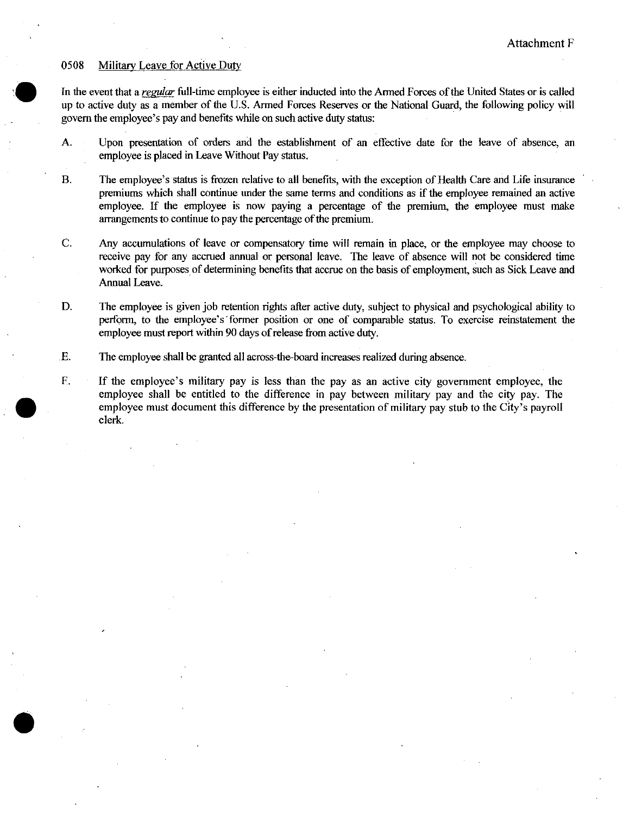## 0508 Military Leave for Active Duty

Attachment F<br>
19508 Military Leave for Active Duty<br>
In the event that a <u>regular</u> full-time employee is either inducted into the Armed Forces of the United States or is called<br>
up to active duty as a member of the U.S. Arm up to active duty as a member of the U.S. Armed Forces Reserves or the National Guard, the following policy will govern the employee's pay and benefits while on such active duty status: In the event that a *regular* full-time employee is either inducted into the up to active duty as a member of the U.S. Armed Forces Reserves or t govern the employee's pay and benefits while on such active duty status:

- A. Upon presentation of orders and the establishment of an effective date for the leave of absence, an employee is placed in Leave Without Pay status.
- B. The employee's status is frozen relative to all benefits, with the exception of Health Care and Life insurance premiums which shall continue under the same terms and conditions as if the employee remained an active employee. If the employee is now paying <sup>a</sup> percentage of the premium, the employee must make arrangements to continue to pay the percentage of the premium.
- C. Any accumulations of leave or compensatory time will remain in place, or the employee may choose to receive pay for any accrued annual or personal leave. The leave of absence will not be considered time worked for purposes of determining benefits that accrue on the basis of employment, such as Sick Leave and Annual Leave.
- D. The employee is given job retention rights after active duty, subject to physical and psychological ability to perform, to the employee's former position or one of comparable status. To exercise reinstatement the employee must report within 90 days of release from active duty.
- E. The employee shall be granted all across- bard the-increases realized during absence.
- F. If the employee's military pay is less than the pay as an active city government employee, the employee shall be entitled to the difference in pay between military pay and the city pay. The employee must document this difference by the presentation of military pay stub to the City's payroll clerk.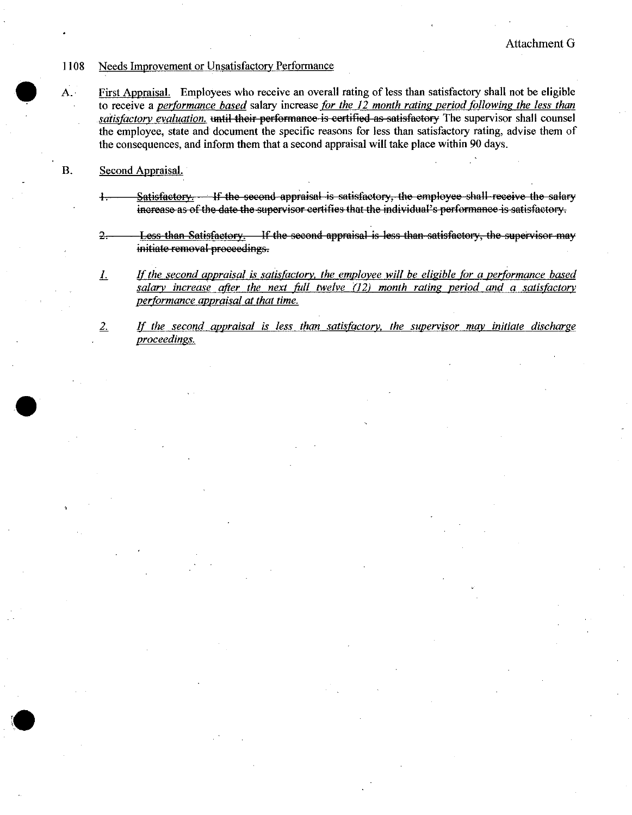#### 1108 Needs Improvement or Unsatisfactory Performance

First Appraisal. Employees who receive an overall rating of less than satisfactory shall not be eligible to receive a performance based salary increase for the 12 month rating period following the less than satisfactory evaluation. until their performance is certified as satisfactory The supervisor shall counsel the employee, state and document the specific reasons for less than satisfactory rating, advise them of the consequences, and inform them that a second appraisal will take place within 90 days.

#### **B.** Second Appraisal.

 $A.$ 

- Satisfactory. If the second appraisal is satisfactory, the employee shall receive the salary  $\ddagger$ increase as of the date the supervisor certifies that the individual's performance is satisfactory.
- $2 -$ Less than Satisfactory. If the second appraisal is less than satisfactory, the supervisor may initiate removal proceedings.
- If the second appraisal is satisfactory, the employee will be eligible for a performance based  $\perp$ salary increase after the next full twelve (12) month rating period and a satisfactory performance appraisal at that time.
- If the second appraisal is less than satisfactory, the supervisor may initiate discharge  $2.$ proceedings.